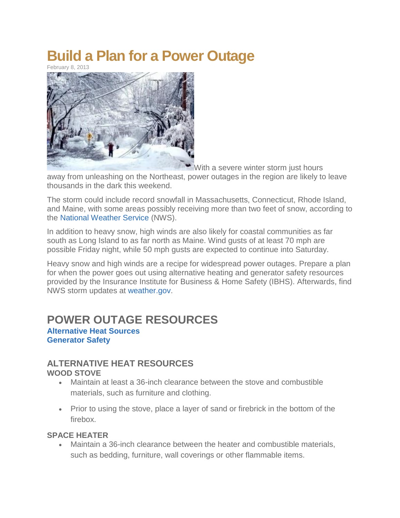# **Build a Plan for a Power Outage**

February 8, 2013



[W](http://www.disastersafety.org/disastersafety/build-a-plan-for-a-power-outage/attachment/power-out-blizzard/)ith a severe winter storm just hours

away from unleashing on the Northeast, power outages in the region are likely to leave thousands in the dark this weekend.

The storm could include record snowfall in Massachusetts, Connecticut, Rhode Island, and Maine, with some areas possibly receiving more than two feet of snow, according to the [National Weather Service](http://www.weather.gov/) (NWS).

In addition to heavy snow, high winds are also likely for coastal communities as far south as Long Island to as far north as Maine. Wind gusts of at least 70 mph are possible Friday night, while 50 mph gusts are expected to continue into Saturday.

Heavy snow and high winds are a recipe for widespread power outages. Prepare a plan for when the power goes out using alternative heating and generator safety resources provided by the Insurance Institute for Business & Home Safety (IBHS). Afterwards, find NWS storm updates at [weather.gov.](http://www.weather.gov/)

# **POWER OUTAGE RESOURCES**

**[Alternative Heat Sources](http://www.disastersafety.org/disastersafety/build-a-plan-for-a-power-outage/#alt) [Generator Safety](http://www.disastersafety.org/disastersafety/build-a-plan-for-a-power-outage/#gen)**

#### **ALTERNATIVE HEAT RESOURCES WOOD STOVE**

- Maintain at least a 36-inch clearance between the stove and combustible materials, such as furniture and clothing.
- Prior to using the stove, place a layer of sand or firebrick in the bottom of the firebox.

#### **SPACE HEATER**

 Maintain a 36-inch clearance between the heater and combustible materials, such as bedding, furniture, wall coverings or other flammable items.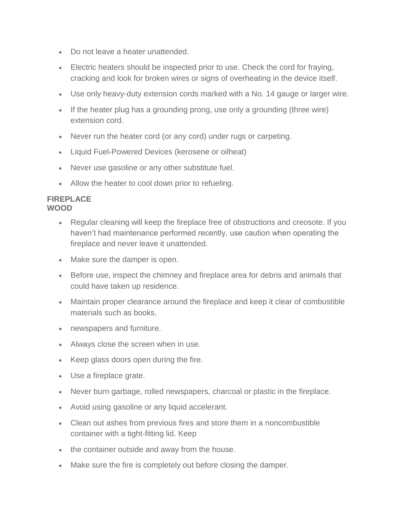- Do not leave a heater unattended.
- Electric heaters should be inspected prior to use. Check the cord for fraying, cracking and look for broken wires or signs of overheating in the device itself.
- Use only heavy-duty extension cords marked with a No. 14 gauge or larger wire.
- If the heater plug has a grounding prong, use only a grounding (three wire) extension cord.
- Never run the heater cord (or any cord) under rugs or carpeting.
- Liquid Fuel-Powered Devices (kerosene or oilheat)
- Never use gasoline or any other substitute fuel.
- Allow the heater to cool down prior to refueling.

#### **FIREPLACE WOOD**

- Regular cleaning will keep the fireplace free of obstructions and creosote. If you haven't had maintenance performed recently, use caution when operating the fireplace and never leave it unattended.
- Make sure the damper is open.
- Before use, inspect the chimney and fireplace area for debris and animals that could have taken up residence.
- Maintain proper clearance around the fireplace and keep it clear of combustible materials such as books,
- newspapers and furniture.
- Always close the screen when in use.
- Keep glass doors open during the fire.
- Use a fireplace grate.
- Never burn garbage, rolled newspapers, charcoal or plastic in the fireplace.
- Avoid using gasoline or any liquid accelerant.
- Clean out ashes from previous fires and store them in a noncombustible container with a tight-fitting lid. Keep
- the container outside and away from the house.
- Make sure the fire is completely out before closing the damper.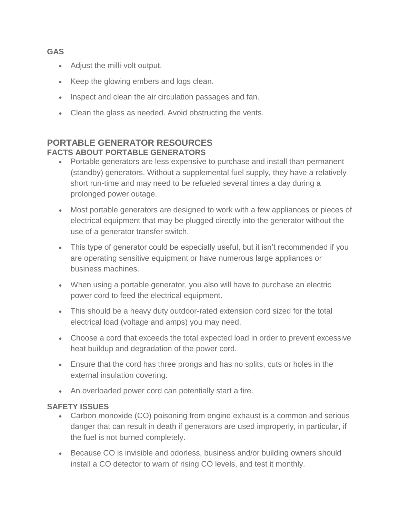# **GAS**

- Adjust the milli-volt output.
- Keep the glowing embers and logs clean.
- Inspect and clean the air circulation passages and fan.
- Clean the glass as needed. Avoid obstructing the vents.

#### **PORTABLE GENERATOR RESOURCES FACTS ABOUT PORTABLE GENERATORS**

- Portable generators are less expensive to purchase and install than permanent (standby) generators. Without a supplemental fuel supply, they have a relatively short run-time and may need to be refueled several times a day during a prolonged power outage.
- Most portable generators are designed to work with a few appliances or pieces of electrical equipment that may be plugged directly into the generator without the use of a generator transfer switch.
- This type of generator could be especially useful, but it isn't recommended if you are operating sensitive equipment or have numerous large appliances or business machines.
- When using a portable generator, you also will have to purchase an electric power cord to feed the electrical equipment.
- This should be a heavy duty outdoor-rated extension cord sized for the total electrical load (voltage and amps) you may need.
- Choose a cord that exceeds the total expected load in order to prevent excessive heat buildup and degradation of the power cord.
- Ensure that the cord has three prongs and has no splits, cuts or holes in the external insulation covering.
- An overloaded power cord can potentially start a fire.

# **SAFETY ISSUES**

- Carbon monoxide (CO) poisoning from engine exhaust is a common and serious danger that can result in death if generators are used improperly, in particular, if the fuel is not burned completely.
- Because CO is invisible and odorless, business and/or building owners should install a CO detector to warn of rising CO levels, and test it monthly.